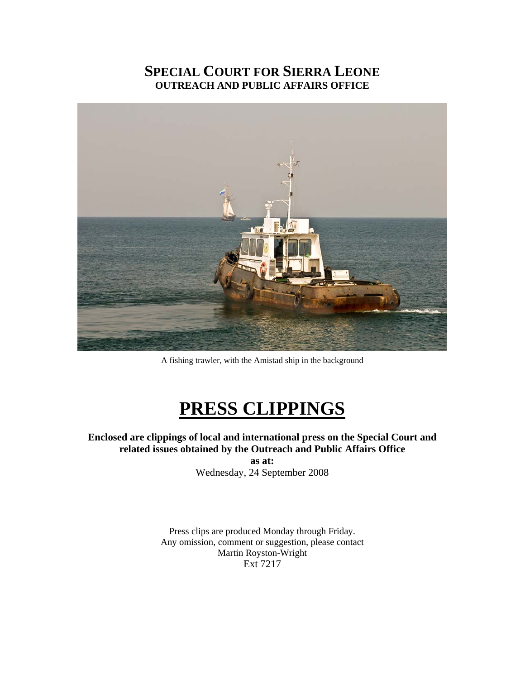# **SPECIAL COURT FOR SIERRA LEONE OUTREACH AND PUBLIC AFFAIRS OFFICE**



A fishing trawler, with the Amistad ship in the background

# **PRESS CLIPPINGS**

**Enclosed are clippings of local and international press on the Special Court and related issues obtained by the Outreach and Public Affairs Office as at:**  Wednesday, 24 September 2008

> Press clips are produced Monday through Friday. Any omission, comment or suggestion, please contact Martin Royston-Wright Ext 7217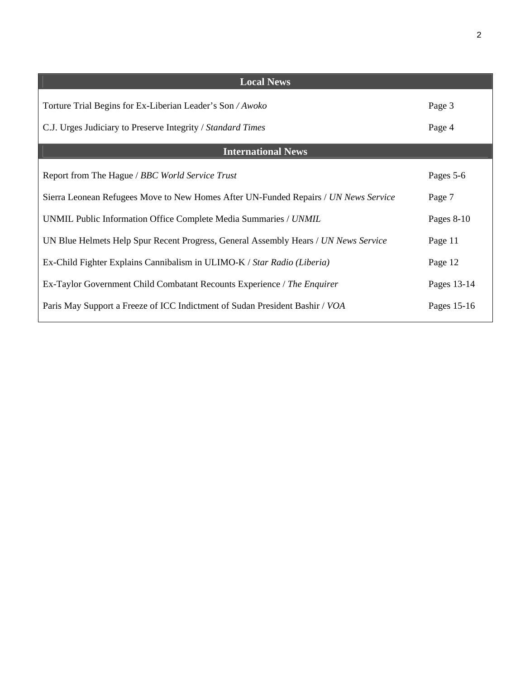| <b>Local News</b>                                                                   |             |
|-------------------------------------------------------------------------------------|-------------|
| Torture Trial Begins for Ex-Liberian Leader's Son / Awoko                           | Page 3      |
| C.J. Urges Judiciary to Preserve Integrity / Standard Times                         | Page 4      |
| <b>International News</b>                                                           |             |
| Report from The Hague / BBC World Service Trust                                     | Pages 5-6   |
| Sierra Leonean Refugees Move to New Homes After UN-Funded Repairs / UN News Service | Page 7      |
| UNMIL Public Information Office Complete Media Summaries / UNMIL                    | Pages 8-10  |
| UN Blue Helmets Help Spur Recent Progress, General Assembly Hears / UN News Service | Page 11     |
| Ex-Child Fighter Explains Cannibalism in ULIMO-K / Star Radio (Liberia)             | Page 12     |
| Ex-Taylor Government Child Combatant Recounts Experience / The Enquirer             | Pages 13-14 |
| Paris May Support a Freeze of ICC Indictment of Sudan President Bashir / VOA        | Pages 15-16 |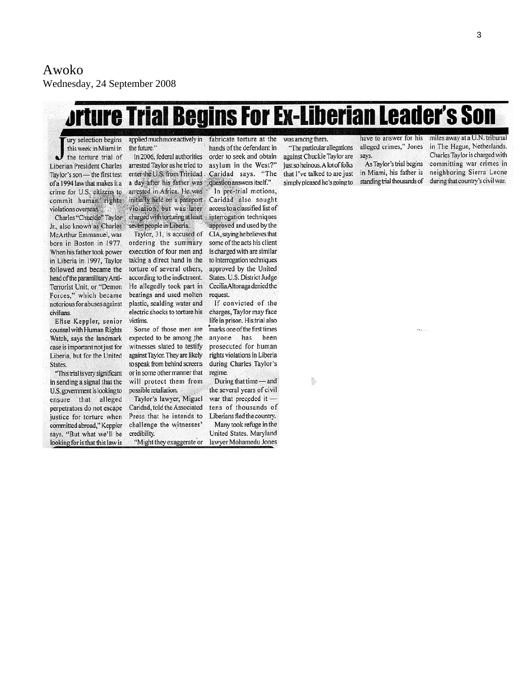# *<u>Jrture Trial Begins For Ex-Liberian Leader's Son</u>*

ury selection begins this week in Miami in the torture trial of Liberian President Charles Taylor's son - the first test of a 1994 law that makes it a crime for U.S. eitizens to commit human rights violations overseas.

Jr., also known as Charles McArthur Emmanuel, was born in Boston in 1977. When his father took power in Liberia in 1997, Taylor followed and became the head of the paramilitary Anti-Terrorist Unit, or "Demon Forces," which became notorious for abuses against civilians.

Elise Keppler, senior counsel with Human Rights Watch, says the landmark case is important not just for Liberia, but for the United States.

"This trial is very significant in sending a signal that the U.S. government is looking to ensure that alleged perpetrators do not escape justice for torture when committed abroad," Keppler says. "But what we'll be looking for is that this law is

the future."

In 2006, federal authorities arrested Taylor as he tried to enter the U.S. from Trinidad. a day after his father was arrested in Africa. He was initially held on a passport violation, but was later Charles "Chuckie" Taylor charged with torturing at least seven people in Liberia.

Taylor, 31, is accused of ordering the summary execution of four men and taking a direct hand in the torture of several others, according to the indictment. He allegedly took part in beatings and used molten plastic, scalding water and electric shocks to torture his victims.

Some of those men are expected to be among the witnesses slated to testify against Taylor. They are likely to speak from behind screens or in some other manner that will protect them from possible retaliation.

Taylor's lawyer, Miguel Caridad, told the Associated Press that he intends to challenge the witnesses' credibility.

"Might they exaggerate or

applied much more actively in fabricate torture at the hands of the defendant in order to seek and obtain asylum in the West?" Caridad says. "The question answers itself."

In pre-trial motions, Caridad also sought access to a classified list of interrogation techniques approved and used by the CIA, saying he believes that some of the acts his client is charged with are similar to interrogation techniques approved by the United States. U.S. District Judge Cecilia Altonaga denied the request.

If convicted of the charges, Taylor may face life in prison. His trial also marks one of the first times anyone has been prosecuted for human rights violations in Liberia during Charles Taylor's regime.

During that time - and the several years of civil war that preceded it tens of thousands of Liberians fled the country. Many took refuge in the

United States. Maryland lawyer Mohamedu Jones was among them. "The particular allegations against Chuckie Taylor are just so heinous. A lot of folks that I've talked to are just simply pleased he's going to

have to answer for his miles away at a U.N. tribunal alleged crimes," Jones says.

As Taylor's trial begins in Miami, his father is

in The Hague, Netherlands. Charles Taylor is charged with committing war crimes in neighboring Sierra Leone standing trial thousands of during that country's civil war.

ş.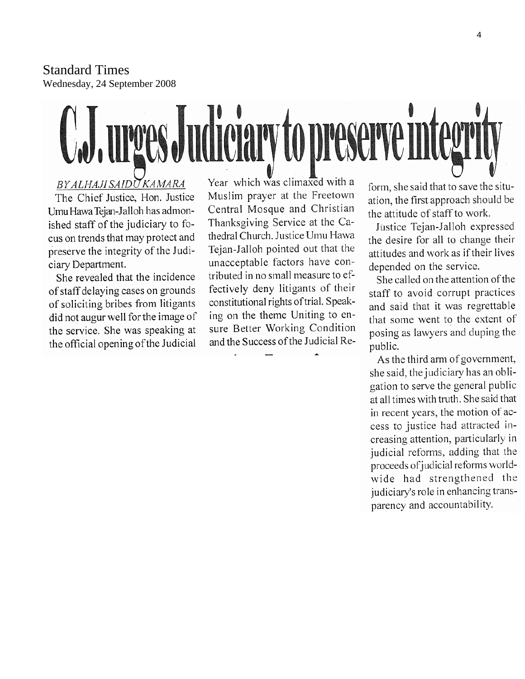Standard Times Wednesday, 24 September 2008

# C.J. urges Judiciary to preserve integrity

#### BY ALHAJI SAIDU KAMARA

The Chief Justice, Hon. Justice Umu Hawa Tejan-Jalloh has admonished staff of the judiciary to focus on trends that may protect and preserve the integrity of the Judiciary Department.

She revealed that the incidence of staff delaying cases on grounds of soliciting bribes from litigants did not augur well for the image of the service. She was speaking at the official opening of the Judicial

Year which was climaxed with a Muslim prayer at the Freetown Central Mosque and Christian Thanksgiving Service at the Cathedral Church. Justice Umu Hawa Tejan-Jalloh pointed out that the unacceptable factors have contributed in no small measure to effectively deny litigants of their constitutional rights of trial. Speaking on the theme Uniting to ensure Better Working Condition and the Success of the Judicial Re-

form, she said that to save the situation, the first approach should be the attitude of staff to work.

Justice Tejan-Jalloh expressed the desire for all to change their attitudes and work as if their lives depended on the service.

She called on the attention of the staff to avoid corrupt practices and said that it was regrettable that some went to the extent of posing as lawyers and duping the public.

As the third arm of government, she said, the judiciary has an obligation to serve the general public at all times with truth. She said that in recent years, the motion of access to justice had attracted increasing attention, particularly in judicial reforms, adding that the proceeds of judicial reforms worldwide had strengthened the judiciary's role in enhancing transparency and accountability.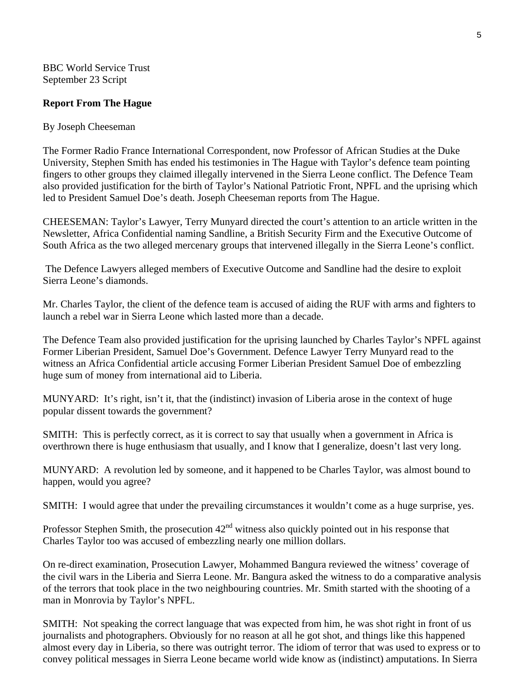BBC World Service Trust September 23 Script

#### **Report From The Hague**

#### By Joseph Cheeseman

The Former Radio France International Correspondent, now Professor of African Studies at the Duke University, Stephen Smith has ended his testimonies in The Hague with Taylor's defence team pointing fingers to other groups they claimed illegally intervened in the Sierra Leone conflict. The Defence Team also provided justification for the birth of Taylor's National Patriotic Front, NPFL and the uprising which led to President Samuel Doe's death. Joseph Cheeseman reports from The Hague.

CHEESEMAN: Taylor's Lawyer, Terry Munyard directed the court's attention to an article written in the Newsletter, Africa Confidential naming Sandline, a British Security Firm and the Executive Outcome of South Africa as the two alleged mercenary groups that intervened illegally in the Sierra Leone's conflict.

 The Defence Lawyers alleged members of Executive Outcome and Sandline had the desire to exploit Sierra Leone's diamonds.

Mr. Charles Taylor, the client of the defence team is accused of aiding the RUF with arms and fighters to launch a rebel war in Sierra Leone which lasted more than a decade.

The Defence Team also provided justification for the uprising launched by Charles Taylor's NPFL against Former Liberian President, Samuel Doe's Government. Defence Lawyer Terry Munyard read to the witness an Africa Confidential article accusing Former Liberian President Samuel Doe of embezzling huge sum of money from international aid to Liberia.

MUNYARD: It's right, isn't it, that the (indistinct) invasion of Liberia arose in the context of huge popular dissent towards the government?

SMITH: This is perfectly correct, as it is correct to say that usually when a government in Africa is overthrown there is huge enthusiasm that usually, and I know that I generalize, doesn't last very long.

MUNYARD: A revolution led by someone, and it happened to be Charles Taylor, was almost bound to happen, would you agree?

SMITH: I would agree that under the prevailing circumstances it wouldn't come as a huge surprise, yes.

Professor Stephen Smith, the prosecution  $42<sup>nd</sup>$  witness also quickly pointed out in his response that Charles Taylor too was accused of embezzling nearly one million dollars.

On re-direct examination, Prosecution Lawyer, Mohammed Bangura reviewed the witness' coverage of the civil wars in the Liberia and Sierra Leone. Mr. Bangura asked the witness to do a comparative analysis of the terrors that took place in the two neighbouring countries. Mr. Smith started with the shooting of a man in Monrovia by Taylor's NPFL.

SMITH: Not speaking the correct language that was expected from him, he was shot right in front of us journalists and photographers. Obviously for no reason at all he got shot, and things like this happened almost every day in Liberia, so there was outright terror. The idiom of terror that was used to express or to convey political messages in Sierra Leone became world wide know as (indistinct) amputations. In Sierra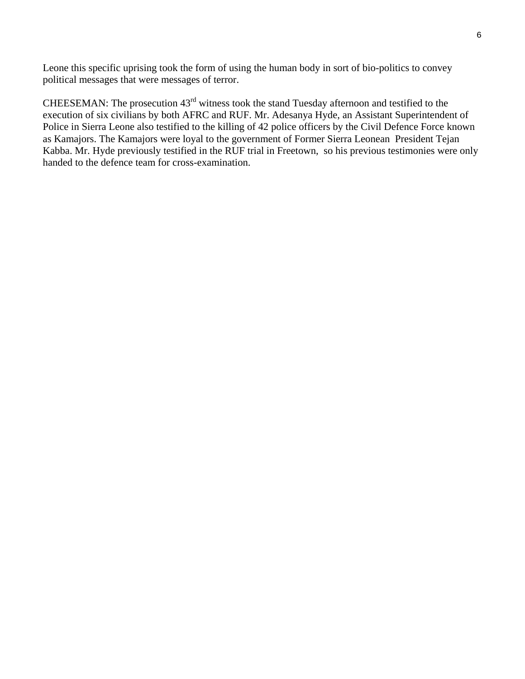Leone this specific uprising took the form of using the human body in sort of bio-politics to convey political messages that were messages of terror.

CHEESEMAN: The prosecution  $43<sup>rd</sup>$  witness took the stand Tuesday afternoon and testified to the execution of six civilians by both AFRC and RUF. Mr. Adesanya Hyde, an Assistant Superintendent of Police in Sierra Leone also testified to the killing of 42 police officers by the Civil Defence Force known as Kamajors. The Kamajors were loyal to the government of Former Sierra Leonean President Tejan Kabba. Mr. Hyde previously testified in the RUF trial in Freetown, so his previous testimonies were only handed to the defence team for cross-examination.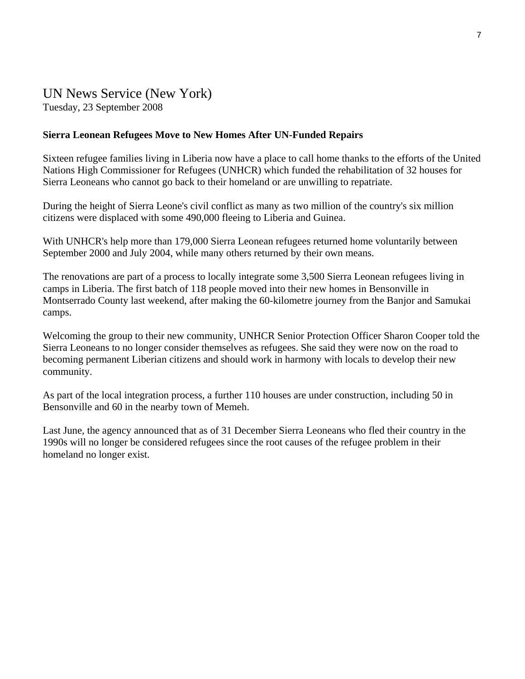#### UN News Service (New York) Tuesday, 23 September 2008

#### **Sierra Leonean Refugees Move to New Homes After UN-Funded Repairs**

Sixteen refugee families living in Liberia now have a place to call home thanks to the efforts of the United Nations High Commissioner for Refugees (UNHCR) which funded the rehabilitation of 32 houses for Sierra Leoneans who cannot go back to their homeland or are unwilling to repatriate.

During the height of Sierra Leone's civil conflict as many as two million of the country's six million citizens were displaced with some 490,000 fleeing to Liberia and Guinea.

With UNHCR's help more than 179,000 Sierra Leonean refugees returned home voluntarily between September 2000 and July 2004, while many others returned by their own means.

The renovations are part of a process to locally integrate some 3,500 Sierra Leonean refugees living in camps in Liberia. The first batch of 118 people moved into their new homes in Bensonville in Montserrado County last weekend, after making the 60-kilometre journey from the Banjor and Samukai camps.

Welcoming the group to their new community, UNHCR Senior Protection Officer Sharon Cooper told the Sierra Leoneans to no longer consider themselves as refugees. She said they were now on the road to becoming permanent Liberian citizens and should work in harmony with locals to develop their new community.

As part of the local integration process, a further 110 houses are under construction, including 50 in Bensonville and 60 in the nearby town of Memeh.

Last June, the agency announced that as of 31 December Sierra Leoneans who fled their country in the 1990s will no longer be considered refugees since the root causes of the refugee problem in their homeland no longer exist.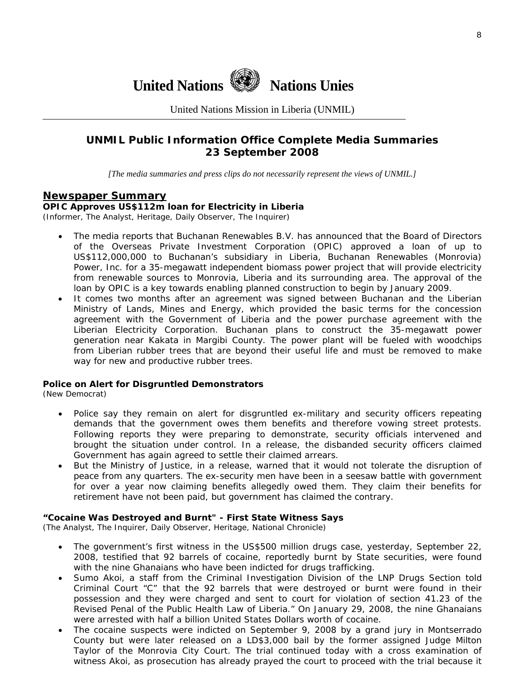

United Nations Mission in Liberia (UNMIL)

#### **UNMIL Public Information Office Complete Media Summaries 23 September 2008**

*[The media summaries and press clips do not necessarily represent the views of UNMIL.]* 

#### **Newspaper Summary**

#### **OPIC Approves US\$112m loan for Electricity in Liberia**

(Informer, The Analyst, Heritage, Daily Observer, The Inquirer)

- The media reports that Buchanan Renewables B.V. has announced that the Board of Directors of the Overseas Private Investment Corporation (OPIC) approved a loan of up to US\$112,000,000 to Buchanan's subsidiary in Liberia, Buchanan Renewables (Monrovia) Power, Inc. for a 35-megawatt independent biomass power project that will provide electricity from renewable sources to Monrovia, Liberia and its surrounding area. The approval of the loan by OPIC is a key towards enabling planned construction to begin by January 2009.
- It comes two months after an agreement was signed between Buchanan and the Liberian Ministry of Lands, Mines and Energy, which provided the basic terms for the concession agreement with the Government of Liberia and the power purchase agreement with the Liberian Electricity Corporation. Buchanan plans to construct the 35-megawatt power generation near Kakata in Margibi County. The power plant will be fueled with woodchips from Liberian rubber trees that are beyond their useful life and must be removed to make way for new and productive rubber trees.

#### **Police on Alert for Disgruntled Demonstrators**

(New Democrat)

- Police say they remain on alert for disgruntled ex-military and security officers repeating demands that the government owes them benefits and therefore vowing street protests. Following reports they were preparing to demonstrate, security officials intervened and brought the situation under control. In a release, the disbanded security officers claimed Government has again agreed to settle their claimed arrears.
- But the Ministry of Justice, in a release, warned that it would not tolerate the disruption of peace from any quarters. The ex-security men have been in a seesaw battle with government for over a year now claiming benefits allegedly owed them. They claim their benefits for retirement have not been paid, but government has claimed the contrary.

#### **"Cocaine Was Destroyed and Burnt" - First State Witness Says**

(The Analyst, The Inquirer, Daily Observer, Heritage, National Chronicle)

- The government's first witness in the US\$500 million drugs case, yesterday, September 22, 2008, testified that 92 barrels of cocaine, reportedly burnt by State securities, were found with the nine Ghanaians who have been indicted for drugs trafficking.
- Sumo Akoi, a staff from the Criminal Investigation Division of the LNP Drugs Section told Criminal Court "C" that the 92 barrels that were destroyed or burnt were found in their possession and they were charged and sent to court for violation of section 41.23 of the Revised Penal of the Public Health Law of Liberia." On January 29, 2008, the nine Ghanaians were arrested with half a billion United States Dollars worth of cocaine.
- The cocaine suspects were indicted on September 9, 2008 by a grand jury in Montserrado County but were later released on a LD\$3,000 bail by the former assigned Judge Milton Taylor of the Monrovia City Court. The trial continued today with a cross examination of witness Akoi, as prosecution has already prayed the court to proceed with the trial because it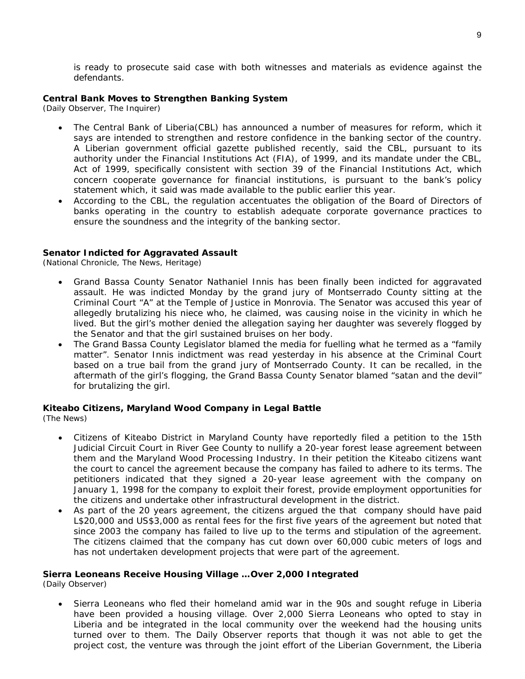is ready to prosecute said case with both witnesses and materials as evidence against the defendants.

#### **Central Bank Moves to Strengthen Banking System**

(Daily Observer, The Inquirer)

- The Central Bank of Liberia(CBL) has announced a number of measures for reform, which it says are intended to strengthen and restore confidence in the banking sector of the country. A Liberian government official gazette published recently, said the CBL, pursuant to its authority under the Financial Institutions Act (FIA), of 1999, and its mandate under the CBL, Act of 1999, specifically consistent with section 39 of the Financial Institutions Act, which concern cooperate governance for financial institutions, is pursuant to the bank's policy statement which, it said was made available to the public earlier this year.
- According to the CBL, the regulation accentuates the obligation of the Board of Directors of banks operating in the country to establish adequate corporate governance practices to ensure the soundness and the integrity of the banking sector.

#### **Senator Indicted for Aggravated Assault**

(National Chronicle, The News, Heritage)

- Grand Bassa County Senator Nathaniel Innis has been finally been indicted for aggravated assault. He was indicted Monday by the grand jury of Montserrado County sitting at the Criminal Court "A" at the Temple of Justice in Monrovia. The Senator was accused this year of allegedly brutalizing his niece who, he claimed, was causing noise in the vicinity in which he lived. But the girl's mother denied the allegation saying her daughter was severely flogged by the Senator and that the girl sustained bruises on her body.
- The Grand Bassa County Legislator blamed the media for fuelling what he termed as a "family matter". Senator Innis indictment was read yesterday in his absence at the Criminal Court based on a true bail from the grand jury of Montserrado County. It can be recalled, in the aftermath of the girl's flogging, the Grand Bassa County Senator blamed "satan and the devil" for brutalizing the girl.

#### **Kiteabo Citizens, Maryland Wood Company in Legal Battle**

(The News)

- Citizens of Kiteabo District in Maryland County have reportedly filed a petition to the 15th Judicial Circuit Court in River Gee County to nullify a 20-year forest lease agreement between them and the Maryland Wood Processing Industry. In their petition the Kiteabo citizens want the court to cancel the agreement because the company has failed to adhere to its terms. The petitioners indicated that they signed a 20-year lease agreement with the company on January 1, 1998 for the company to exploit their forest, provide employment opportunities for the citizens and undertake other infrastructural development in the district.
- As part of the 20 years agreement, the citizens argued the that company should have paid L\$20,000 and US\$3,000 as rental fees for the first five years of the agreement but noted that since 2003 the company has failed to live up to the terms and stipulation of the agreement. The citizens claimed that the company has cut down over 60,000 cubic meters of logs and has not undertaken development projects that were part of the agreement.

#### **Sierra Leoneans Receive Housing Village …Over 2,000 Integrated**

(Daily Observer)

• Sierra Leoneans who fled their homeland amid war in the 90s and sought refuge in Liberia have been provided a housing village. Over 2,000 Sierra Leoneans who opted to stay in Liberia and be integrated in the local community over the weekend had the housing units turned over to them. The Daily Observer reports that though it was not able to get the project cost, the venture was through the joint effort of the Liberian Government, the Liberia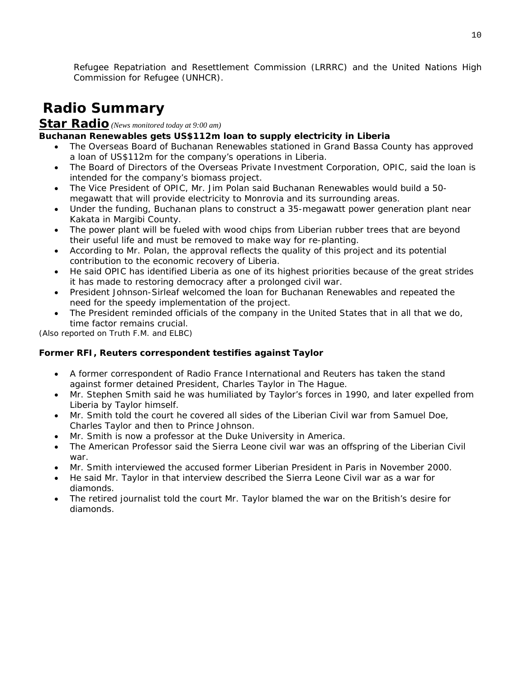Refugee Repatriation and Resettlement Commission (LRRRC) and the United Nations High Commission for Refugee (UNHCR).

# **Radio Summary**

#### **Star Radio** *(News monitored today at 9:00 am)*

#### **Buchanan Renewables gets US\$112m loan to supply electricity in Liberia**

- The Overseas Board of Buchanan Renewables stationed in Grand Bassa County has approved a loan of US\$112m for the company's operations in Liberia.
- The Board of Directors of the Overseas Private Investment Corporation, OPIC, said the loan is intended for the company's biomass project.
- The Vice President of OPIC, Mr. Jim Polan said Buchanan Renewables would build a 50 megawatt that will provide electricity to Monrovia and its surrounding areas.
- Under the funding, Buchanan plans to construct a 35-megawatt power generation plant near Kakata in Margibi County.
- The power plant will be fueled with wood chips from Liberian rubber trees that are beyond their useful life and must be removed to make way for re-planting.
- According to Mr. Polan, the approval reflects the quality of this project and its potential contribution to the economic recovery of Liberia.
- He said OPIC has identified Liberia as one of its highest priorities because of the great strides it has made to restoring democracy after a prolonged civil war.
- President Johnson-Sirleaf welcomed the loan for Buchanan Renewables and repeated the need for the speedy implementation of the project.
- The President reminded officials of the company in the United States that in all that we do, time factor remains crucial.

*(Also reported on Truth F.M. and ELBC)* 

#### **Former RFI, Reuters correspondent testifies against Taylor**

- A former correspondent of Radio France International and Reuters has taken the stand against former detained President, Charles Taylor in The Hague.
- Mr. Stephen Smith said he was humiliated by Taylor's forces in 1990, and later expelled from Liberia by Taylor himself.
- Mr. Smith told the court he covered all sides of the Liberian Civil war from Samuel Doe, Charles Taylor and then to Prince Johnson.
- Mr. Smith is now a professor at the Duke University in America.
- The American Professor said the Sierra Leone civil war was an offspring of the Liberian Civil war.
- Mr. Smith interviewed the accused former Liberian President in Paris in November 2000.
- He said Mr. Taylor in that interview described the Sierra Leone Civil war as a war for diamonds.
- The retired journalist told the court Mr. Taylor blamed the war on the British's desire for diamonds.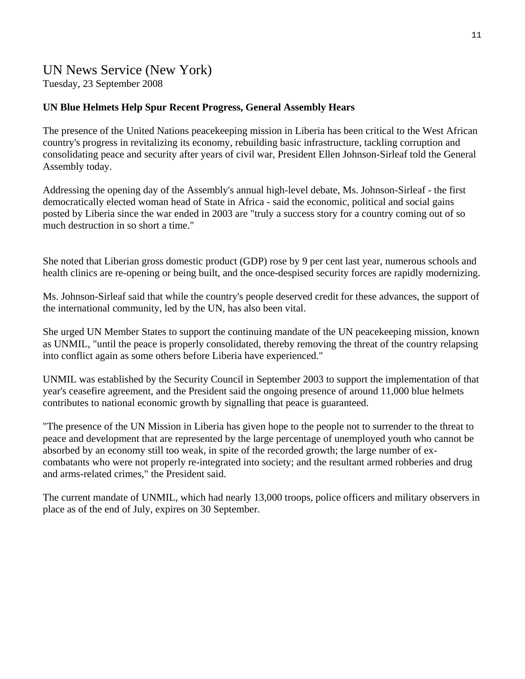## UN News Service (New York) Tuesday, 23 September 2008

#### **UN Blue Helmets Help Spur Recent Progress, General Assembly Hears**

The presence of the United Nations peacekeeping mission in Liberia has been critical to the West African country's progress in revitalizing its economy, rebuilding basic infrastructure, tackling corruption and consolidating peace and security after years of civil war, President Ellen Johnson-Sirleaf told the General Assembly today.

Addressing the opening day of the Assembly's annual high-level debate, Ms. Johnson-Sirleaf - the first democratically elected woman head of State in Africa - said the economic, political and social gains posted by Liberia since the war ended in 2003 are "truly a success story for a country coming out of so much destruction in so short a time."

She noted that Liberian gross domestic product (GDP) rose by 9 per cent last year, numerous schools and health clinics are re-opening or being built, and the once-despised security forces are rapidly modernizing.

Ms. Johnson-Sirleaf said that while the country's people deserved credit for these advances, the support of the international community, led by the UN, has also been vital.

She urged UN Member States to support the continuing mandate of the UN peacekeeping mission, known as UNMIL, "until the peace is properly consolidated, thereby removing the threat of the country relapsing into conflict again as some others before Liberia have experienced."

UNMIL was established by the Security Council in September 2003 to support the implementation of that year's ceasefire agreement, and the President said the ongoing presence of around 11,000 blue helmets contributes to national economic growth by signalling that peace is guaranteed.

"The presence of the UN Mission in Liberia has given hope to the people not to surrender to the threat to peace and development that are represented by the large percentage of unemployed youth who cannot be absorbed by an economy still too weak, in spite of the recorded growth; the large number of excombatants who were not properly re-integrated into society; and the resultant armed robberies and drug and arms-related crimes," the President said.

The current mandate of UNMIL, which had nearly 13,000 troops, police officers and military observers in place as of the end of July, expires on 30 September.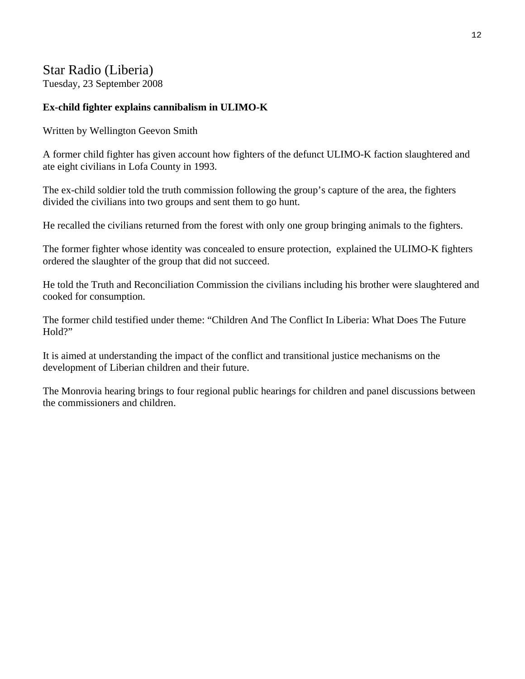## Star Radio (Liberia)

Tuesday, 23 September 2008

#### **Ex-child fighter explains cannibalism in ULIMO-K**

Written by Wellington Geevon Smith

A former child fighter has given account how fighters of the defunct ULIMO-K faction slaughtered and ate eight civilians in Lofa County in 1993.

The ex-child soldier told the truth commission following the group's capture of the area, the fighters divided the civilians into two groups and sent them to go hunt.

He recalled the civilians returned from the forest with only one group bringing animals to the fighters.

The former fighter whose identity was concealed to ensure protection, explained the ULIMO-K fighters ordered the slaughter of the group that did not succeed.

He told the Truth and Reconciliation Commission the civilians including his brother were slaughtered and cooked for consumption.

The former child testified under theme: "Children And The Conflict In Liberia: What Does The Future Hold?"

It is aimed at understanding the impact of the conflict and transitional justice mechanisms on the development of Liberian children and their future.

The Monrovia hearing brings to four regional public hearings for children and panel discussions between the commissioners and children.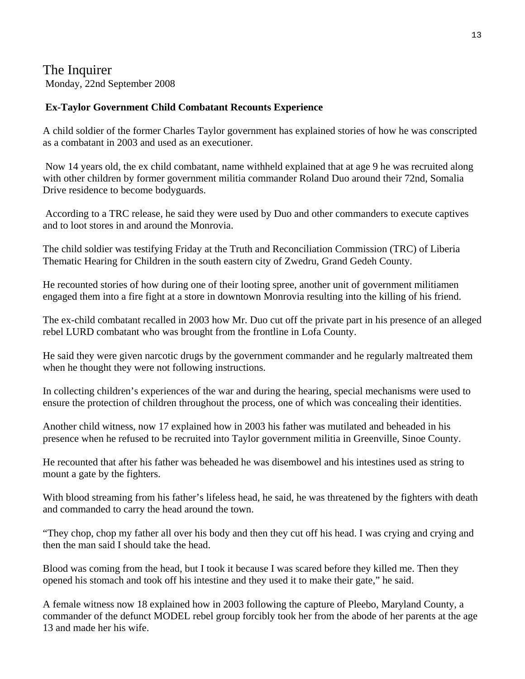## The Inquirer Monday, 22nd September 2008

#### **Ex-Taylor Government Child Combatant Recounts Experience**

A child soldier of the former Charles Taylor government has explained stories of how he was conscripted as a combatant in 2003 and used as an executioner.

 Now 14 years old, the ex child combatant, name withheld explained that at age 9 he was recruited along with other children by former government militia commander Roland Duo around their 72nd, Somalia Drive residence to become bodyguards.

 According to a TRC release, he said they were used by Duo and other commanders to execute captives and to loot stores in and around the Monrovia.

The child soldier was testifying Friday at the Truth and Reconciliation Commission (TRC) of Liberia Thematic Hearing for Children in the south eastern city of Zwedru, Grand Gedeh County.

He recounted stories of how during one of their looting spree, another unit of government militiamen engaged them into a fire fight at a store in downtown Monrovia resulting into the killing of his friend.

The ex-child combatant recalled in 2003 how Mr. Duo cut off the private part in his presence of an alleged rebel LURD combatant who was brought from the frontline in Lofa County.

He said they were given narcotic drugs by the government commander and he regularly maltreated them when he thought they were not following instructions.

In collecting children's experiences of the war and during the hearing, special mechanisms were used to ensure the protection of children throughout the process, one of which was concealing their identities.

Another child witness, now 17 explained how in 2003 his father was mutilated and beheaded in his presence when he refused to be recruited into Taylor government militia in Greenville, Sinoe County.

He recounted that after his father was beheaded he was disembowel and his intestines used as string to mount a gate by the fighters.

With blood streaming from his father's lifeless head, he said, he was threatened by the fighters with death and commanded to carry the head around the town.

"They chop, chop my father all over his body and then they cut off his head. I was crying and crying and then the man said I should take the head.

Blood was coming from the head, but I took it because I was scared before they killed me. Then they opened his stomach and took off his intestine and they used it to make their gate," he said.

A female witness now 18 explained how in 2003 following the capture of Pleebo, Maryland County, a commander of the defunct MODEL rebel group forcibly took her from the abode of her parents at the age 13 and made her his wife.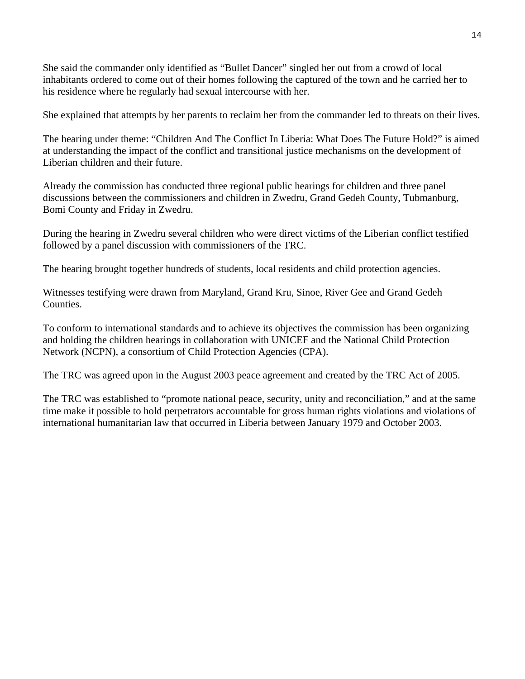She said the commander only identified as "Bullet Dancer" singled her out from a crowd of local inhabitants ordered to come out of their homes following the captured of the town and he carried her to his residence where he regularly had sexual intercourse with her.

She explained that attempts by her parents to reclaim her from the commander led to threats on their lives.

The hearing under theme: "Children And The Conflict In Liberia: What Does The Future Hold?" is aimed at understanding the impact of the conflict and transitional justice mechanisms on the development of Liberian children and their future.

Already the commission has conducted three regional public hearings for children and three panel discussions between the commissioners and children in Zwedru, Grand Gedeh County, Tubmanburg, Bomi County and Friday in Zwedru.

During the hearing in Zwedru several children who were direct victims of the Liberian conflict testified followed by a panel discussion with commissioners of the TRC.

The hearing brought together hundreds of students, local residents and child protection agencies.

Witnesses testifying were drawn from Maryland, Grand Kru, Sinoe, River Gee and Grand Gedeh Counties.

To conform to international standards and to achieve its objectives the commission has been organizing and holding the children hearings in collaboration with UNICEF and the National Child Protection Network (NCPN), a consortium of Child Protection Agencies (CPA).

The TRC was agreed upon in the August 2003 peace agreement and created by the TRC Act of 2005.

The TRC was established to "promote national peace, security, unity and reconciliation," and at the same time make it possible to hold perpetrators accountable for gross human rights violations and violations of international humanitarian law that occurred in Liberia between January 1979 and October 2003.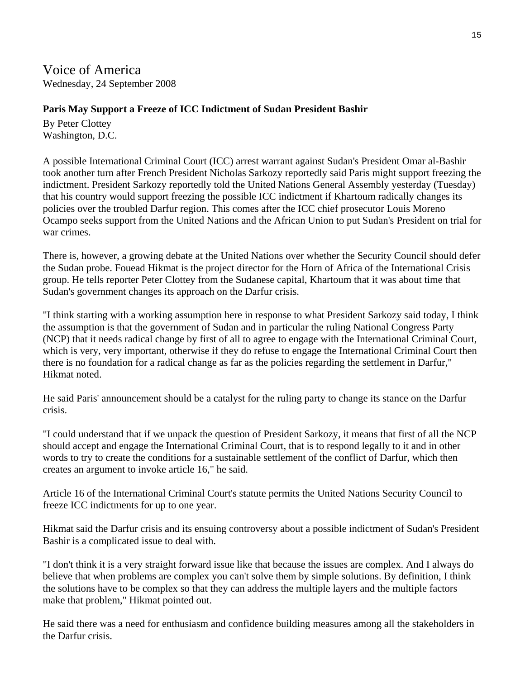Voice of America Wednesday, 24 September 2008

#### **Paris May Support a Freeze of ICC Indictment of Sudan President Bashir**

By Peter Clottey Washington, D.C.

A possible International Criminal Court (ICC) arrest warrant against Sudan's President Omar al-Bashir took another turn after French President Nicholas Sarkozy reportedly said Paris might support freezing the indictment. President Sarkozy reportedly told the United Nations General Assembly yesterday (Tuesday) that his country would support freezing the possible ICC indictment if Khartoum radically changes its policies over the troubled Darfur region. This comes after the ICC chief prosecutor Louis Moreno Ocampo seeks support from the United Nations and the African Union to put Sudan's President on trial for war crimes.

There is, however, a growing debate at the United Nations over whether the Security Council should defer the Sudan probe. Fouead Hikmat is the project director for the Horn of Africa of the International Crisis group. He tells reporter Peter Clottey from the Sudanese capital, Khartoum that it was about time that Sudan's government changes its approach on the Darfur crisis.

"I think starting with a working assumption here in response to what President Sarkozy said today, I think the assumption is that the government of Sudan and in particular the ruling National Congress Party (NCP) that it needs radical change by first of all to agree to engage with the International Criminal Court, which is very, very important, otherwise if they do refuse to engage the International Criminal Court then there is no foundation for a radical change as far as the policies regarding the settlement in Darfur," Hikmat noted.

He said Paris' announcement should be a catalyst for the ruling party to change its stance on the Darfur crisis.

"I could understand that if we unpack the question of President Sarkozy, it means that first of all the NCP should accept and engage the International Criminal Court, that is to respond legally to it and in other words to try to create the conditions for a sustainable settlement of the conflict of Darfur, which then creates an argument to invoke article 16," he said.

Article 16 of the International Criminal Court's statute permits the United Nations Security Council to freeze ICC indictments for up to one year.

Hikmat said the Darfur crisis and its ensuing controversy about a possible indictment of Sudan's President Bashir is a complicated issue to deal with.

"I don't think it is a very straight forward issue like that because the issues are complex. And I always do believe that when problems are complex you can't solve them by simple solutions. By definition, I think the solutions have to be complex so that they can address the multiple layers and the multiple factors make that problem," Hikmat pointed out.

He said there was a need for enthusiasm and confidence building measures among all the stakeholders in the Darfur crisis.